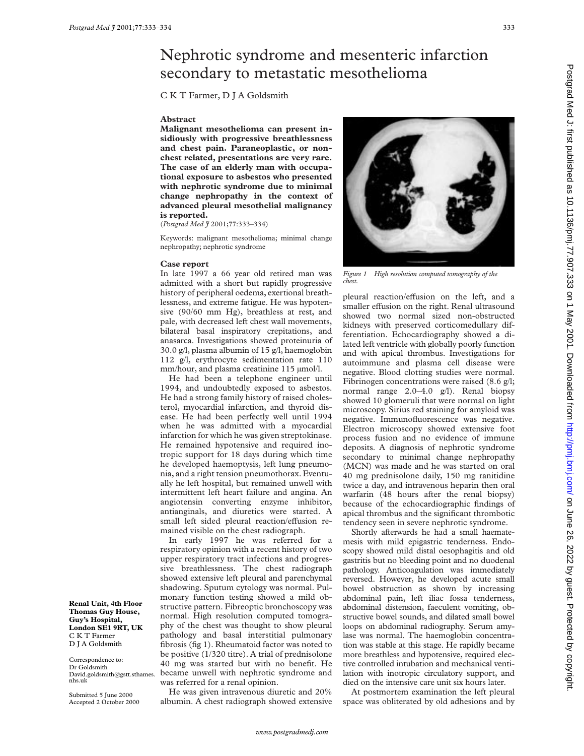## Nephrotic syndrome and mesenteric infarction secondary to metastatic mesothelioma

C K T Farmer, D J A Goldsmith

## **Abstract**

**Malignant mesothelioma can present insidiously with progressive breathlessness and chest pain. Paraneoplastic, or nonchest related, presentations are very rare. The case of an elderly man with occupational exposure to asbestos who presented with nephrotic syndrome due to minimal change nephropathy in the context of advanced pleural mesothelial malignancy is reported.**

(*Postgrad Med J* 2001;**77**:333–334)

Keywords: malignant mesothelioma; minimal change nephropathy; nephrotic syndrome

## **Case report**

In late 1997 a 66 year old retired man was admitted with a short but rapidly progressive history of peripheral oedema, exertional breathlessness, and extreme fatigue. He was hypotensive (90/60 mm Hg), breathless at rest, and pale, with decreased left chest wall movements, bilateral basal inspiratory crepitations, and anasarca. Investigations showed proteinuria of 30.0 g/l, plasma albumin of 15 g/l, haemoglobin 112 g/l, erythrocyte sedimentation rate 110 mm/hour, and plasma creatinine 115 µmol/l.

He had been a telephone engineer until 1994, and undoubtedly exposed to asbestos. He had a strong family history of raised cholesterol, myocardial infarction, and thyroid disease. He had been perfectly well until 1994 when he was admitted with a myocardial infarction for which he was given streptokinase. He remained hypotensive and required inotropic support for 18 days during which time he developed haemoptysis, left lung pneumonia, and a right tension pneumothorax. Eventually he left hospital, but remained unwell with intermittent left heart failure and angina. An angiotensin converting enzyme inhibitor, antianginals, and diuretics were started. A small left sided pleural reaction/effusion remained visible on the chest radiograph.

In early 1997 he was referred for a respiratory opinion with a recent history of two upper respiratory tract infections and progressive breathlessness. The chest radiograph showed extensive left pleural and parenchymal shadowing. Sputum cytology was normal. Pulmonary function testing showed a mild obstructive pattern. Fibreoptic bronchoscopy was normal. High resolution computed tomography of the chest was thought to show pleural pathology and basal interstitial pulmonary fibrosis (fig 1). Rheumatoid factor was noted to be positive (1/320 titre). A trial of prednisolone 40 mg was started but with no benefit. He became unwell with nephrotic syndrome and was referred for a renal opinion.

He was given intravenous diuretic and 20% albumin. A chest radiograph showed extensive



*Figure 1 High resolution computed tomography of the chest.*

pleural reaction/effusion on the left, and a smaller effusion on the right. Renal ultrasound showed two normal sized non-obstructed kidneys with preserved corticomedullary differentiation. Echocardiography showed a dilated left ventricle with globally poorly function and with apical thrombus. Investigations for autoimmune and plasma cell disease were negative. Blood clotting studies were normal. Fibrinogen concentrations were raised (8.6 g/l; normal range 2.0–4.0 g/l). Renal biopsy showed 10 glomeruli that were normal on light microscopy. Sirius red staining for amyloid was negative. Immunofluorescence was negative. Electron microscopy showed extensive foot process fusion and no evidence of immune deposits. A diagnosis of nephrotic syndrome secondary to minimal change nephropathy (MCN) was made and he was started on oral 40 mg prednisolone daily, 150 mg ranitidine twice a day, and intravenous heparin then oral warfarin (48 hours after the renal biopsy) because of the echocardiographic findings of apical thrombus and the significant thrombotic tendency seen in severe nephrotic syndrome.

Shortly afterwards he had a small haematemesis with mild epigastric tenderness. Endoscopy showed mild distal oesophagitis and old gastritis but no bleeding point and no duodenal pathology. Anticoagulation was immediately reversed. However, he developed acute small bowel obstruction as shown by increasing abdominal pain, left iliac fossa tenderness, abdominal distension, faeculent vomiting, obstructive bowel sounds, and dilated small bowel loops on abdominal radiography. Serum amylase was normal. The haemoglobin concentration was stable at this stage. He rapidly became more breathless and hypotensive, required elective controlled intubation and mechanical ventilation with inotropic circulatory support, and died on the intensive care unit six hours later.

At postmortem examination the left pleural space was obliterated by old adhesions and by

**Thomas Guy House, Guy's Hospital, London SE1 9RT, UK** C K T Farmer D J A Goldsmith

**Renal Unit, 4th Floor**

Correspondence to: Dr Goldsmith David.goldsmith@gstt.sthames. nhs.uk

Submitted 5 June 2000 Accepted 2 October 2000